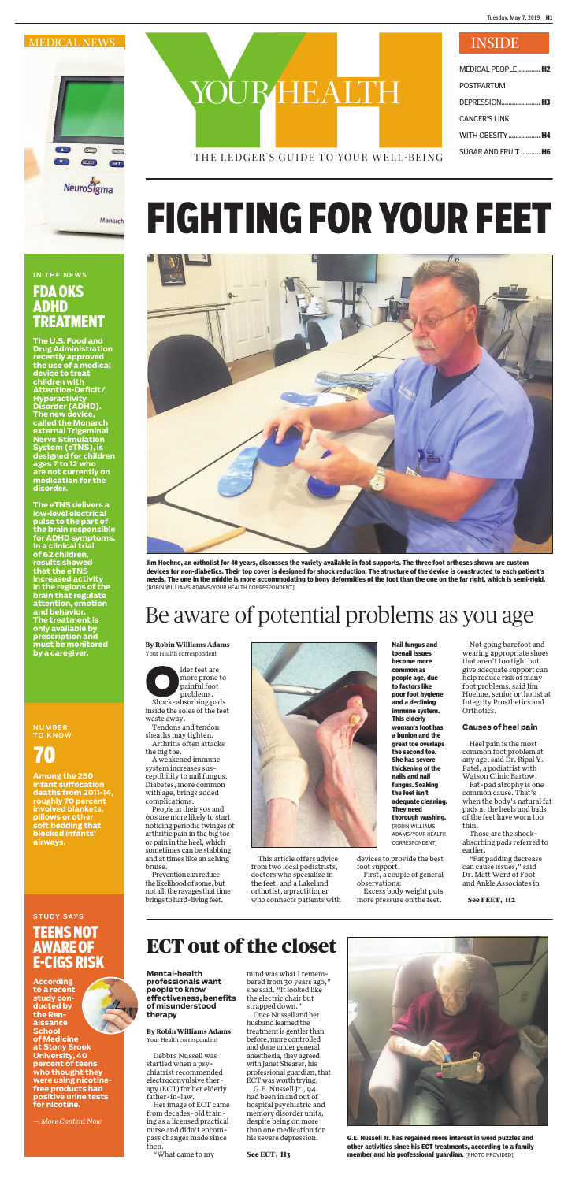THE LEDGER'S GUIDE TO YOUR WELL-BEING

MEDICAL PEOPLE ............. **H2**

| POSTPARTUM           |
|----------------------|
|                      |
| <b>CANCER'S LINK</b> |
| WITH OBESITY  H4     |
| SUGAR AND FRUIT  H6  |

## IN THE NEWS FDA OKS ADHD TREATMENT

**The U.S. Food and Drug Administration recently approved the use of a medical device to treat children with Attention-Defi cit/ Hyperactivity Disorder (ADHD). The new device, called the Monarch external Trigeminal Nerve Stimulation System (eTNS), is designed for children ages 7 to 12 who are not currently on medication for the disorder.** 

## **STUDY SAYS** TEENS NOT AWARE OF E-CIGS RISK

**The eTNS delivers a low-level electrical pulse to the part of the brain responsible for ADHD symptoms. In a clinical trial of 62 children, results showed that the eTNS increased activity in the regions of the brain that regulate attention, emotion and behavior. The treatment is only available by prescription and must be monitored by a caregiver.**

# YOUR HEALTH

lder feet are<br>
more prone is<br>
painful foot<br>
problems. more prone to painful foot problems. Shock-absorbing pads inside the soles of the feet

#### NUMBER TO KNOW

## 70

**Among the 250 infant suff ocation deaths from 2011-14, roughly 70 percent involved blankets, pillows or other soft bedding that blocked infants' airways.**

**According to a recent study conducted by the Renaissance School of Medicine at Stony Brook University, 40 percent of teens who thought they were using nicotinefree products had positive urine tests for nicotine.** 

*— More Content Now*

**By Robin Williams Adams**  Your Health correspondent



"Fat padding decrease can cause issues," said Dr. Matt Werd of Foot and Ankle Associates in

waste away. Tendons and tendon sheaths may tighten.

Arthritis often attacks the big toe.

A weakened immune system increases susceptibility to nail fungus. Diabetes, more common with age, brings added complications.

People in their 50s and 60s are more likely to start noticing periodic twinges of arthritic pain in the big toe or pain in the heel, which sometimes can be stabbing and at times like an aching bruise.

Prevention can reduce the likelihood of some, but not all, the ravages that time brings to hard-living feet.

This article offers advice from two local podiatrists, doctors who specialize in the feet, and a Lakeland orthotist, a practitioner who connects patients with

devices to provide the best foot support.

First, a couple of general observations:

Excess body weight puts more pressure on the feet.



**G.E. Nussell Jr. has regained more interest in word puzzles and other activities since his ECT treatments, according to a family See ECT, H3 member and his professional guardian.** [PHOTO PROVIDED]

Not going barefoot and wearing appropriate shoes that aren't too tight but give adequate support can help reduce risk of many foot problems, said Jim Hoehne, senior orthotist at Integrity Prosthetics and Orthotics.

#### **Causes of heel pain**

Heel pain is the most common foot problem at any age, said Dr. Ripal Y. Patel, a podiatrist with Watson Clinic Bartow.

Fat-pad atrophy is one common cause. That's when the body's natural fat pads at the heels and balls of the feet have worn too thin.

Those are the shockabsorbing pads referred to earlier.

## FIGHTING FOR YOUR FEET



**Jim Hoehne, an orthotist for 40 years, discusses the variety available in foot supports. The three foot orthoses shown are custom devices for non-diabetics. Their top cover is designed for shock reduction. The structure of the device is constructed to each patient's needs. The one in the middle is more accommodating to bony deformities of the foot than the one on the far right, which is semi-rigid.**  [ROBIN WILLIAMS ADAMS/YOUR HEALTH CORRESPONDENT]

> **Nail fungus and toenail issues become more common as people age, due to factors like poor foot hygiene and a declining immune system. This elderly woman's foot has a bunion and the great toe overlaps the second toe. She has severe thickening of the nails and nail fungus. Soaking the feet isn't adequate cleaning. They need thorough washing.**  [ROBIN WILLIAMS ADAMS/YOUR HEALTH CORRESPONDENT]

## Be aware of potential problems as you age

**See FEET, H2**

**By Robin Williams Adams** Your Health correspondent

Debbra Nussell was startled when a psychiatrist recommended electroconvulsive therapy (ECT) for her elderly father-in-law.

Her image of ECT came from decades-old training as a licensed practical nurse and didn't encompass changes made since then.

"What came to my

mind was what I remembered from 30 years ago," she said. "It looked like the electric chair but strapped down."

Once Nussell and her husband learned the treatment is gentler than before, more controlled and done under general anesthesia, they agreed with Janet Shearer, his professional guardian, that ECT was worth trying.

G.E. Nussell Jr., 94, had been in and out of hospital psychiatric and memory disorder units, despite being on more than one medication for his severe depression.

## ECT out of the closet

**Mental-health professionals want people to know effectiveness, benefits of misunderstood therapy**

Tuesday, May 7, 2019 **H1**

#### MEDICAL NEWS INSIDE